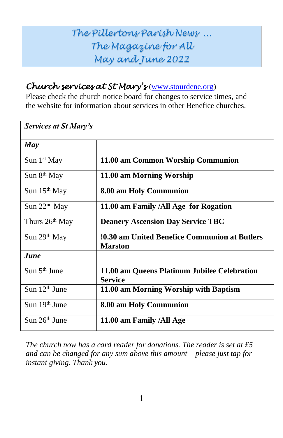# *The Pillertons Parish News … The Magazine for All May and June 2022*

#### *Church services at St Mary's* [\(www.stourdene.org\)](http://www.stourdene.org/)

Please check the church notice board for changes to service times, and the website for information about services in other Benefice churches.

| Services at St Mary's      |                                                                        |
|----------------------------|------------------------------------------------------------------------|
| May                        |                                                                        |
| Sun 1 <sup>st</sup> May    | 11.00 am Common Worship Communion                                      |
| Sun $8th$ May              | 11.00 am Morning Worship                                               |
| Sun $15th$ May             | 8.00 am Holy Communion                                                 |
| Sun 22 <sup>nd</sup> May   | 11.00 am Family /All Age for Rogation                                  |
| Thurs 26 <sup>th</sup> May | <b>Deanery Ascension Day Service TBC</b>                               |
| Sun 29 <sup>th</sup> May   | <b>10.30 am United Benefice Communion at Butlers</b><br><b>Marston</b> |
| <b>June</b>                |                                                                        |
| Sun $5th$ June             | 11.00 am Queens Platinum Jubilee Celebration<br><b>Service</b>         |
| Sun 12 <sup>th</sup> June  | 11.00 am Morning Worship with Baptism                                  |
| Sun 19 <sup>th</sup> June  | 8.00 am Holy Communion                                                 |
| Sun 26 <sup>th</sup> June  | 11.00 am Family /All Age                                               |

*The church now has a card reader for donations. The reader is set at £5 and can be changed for any sum above this amount – please just tap for instant giving. Thank you.*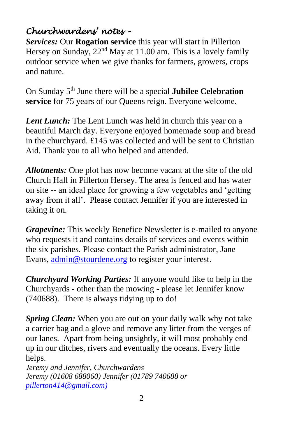### *Churchwardens' notes –*

*Services:* Our **Rogation service** this year will start in Pillerton Hersey on Sunday, 22<sup>nd</sup> May at 11.00 am. This is a lovely family outdoor service when we give thanks for farmers, growers, crops and nature.

On Sunday 5<sup>th</sup> June there will be a special **Jubilee Celebration service** for 75 years of our Queens reign. Everyone welcome.

*Lent Lunch:* The Lent Lunch was held in church this year on a beautiful March day. Everyone enjoyed homemade soup and bread in the churchyard. £145 was collected and will be sent to Christian Aid. Thank you to all who helped and attended.

*Allotments:* One plot has now become vacant at the site of the old Church Hall in Pillerton Hersey. The area is fenced and has water on site -- an ideal place for growing a few vegetables and 'getting away from it all'. Please contact Jennifer if you are interested in taking it on.

*Grapevine:* This weekly Benefice Newsletter is e-mailed to anyone who requests it and contains details of services and events within the six parishes. Please contact the Parish administrator, Jane Evans, [admin@stourdene.org](mailto:admin@stourdene.org) to register your interest.

*Churchyard Working Parties:* If anyone would like to help in the Churchyards - other than the mowing - please let Jennifer know (740688). There is always tidying up to do!

*Spring Clean:* When you are out on your daily walk why not take a carrier bag and a glove and remove any litter from the verges of our lanes. Apart from being unsightly, it will most probably end up in our ditches, rivers and eventually the oceans. Every little helps.

*Jeremy and Jennifer, Churchwardens Jeremy (01608 688060) Jennifer (01789 740688 or [pillerton414@gmail.com\)](mailto:pillerton414@gmail.com)*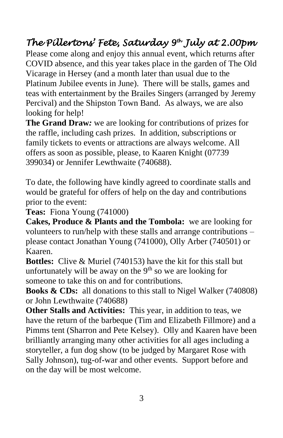# *The Pillertons' Fete, Saturday 9th July at 2.00pm*

Please come along and enjoy this annual event, which returns after COVID absence, and this year takes place in the garden of The Old Vicarage in Hersey (and a month later than usual due to the Platinum Jubilee events in June). There will be stalls, games and teas with entertainment by the Brailes Singers (arranged by Jeremy Percival) and the Shipston Town Band. As always, we are also looking for help!

**The Grand Draw***:* we are looking for contributions of prizes for the raffle, including cash prizes. In addition, subscriptions or family tickets to events or attractions are always welcome. All offers as soon as possible, please, to Kaaren Knight (07739 399034) or Jennifer Lewthwaite (740688).

To date, the following have kindly agreed to coordinate stalls and would be grateful for offers of help on the day and contributions prior to the event:

**Teas:** Fiona Young (741000)

**Cakes, Produce & Plants and the Tombola:** we are looking for volunteers to run/help with these stalls and arrange contributions – please contact Jonathan Young (741000), Olly Arber (740501) or Kaaren.

**Bottles:** Clive & Muriel (740153) have the kit for this stall but unfortunately will be away on the  $9<sup>th</sup>$  so we are looking for someone to take this on and for contributions.

**Books & CDs:** all donations to this stall to Nigel Walker (740808) or John Lewthwaite (740688)

**Other Stalls and Activities:** This year, in addition to teas, we have the return of the barbeque (Tim and Elizabeth Fillmore) and a Pimms tent (Sharron and Pete Kelsey). Olly and Kaaren have been brilliantly arranging many other activities for all ages including a storyteller, a fun dog show (to be judged by Margaret Rose with Sally Johnson), tug-of-war and other events. Support before and on the day will be most welcome.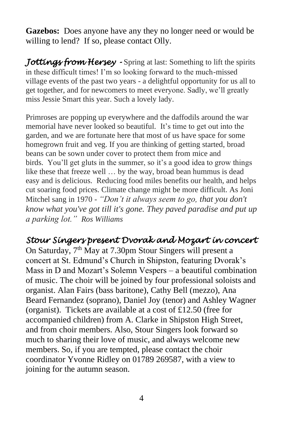**Gazebos:** Does anyone have any they no longer need or would be willing to lend? If so, please contact Olly.

Jottings from Hersey - Spring at last: Something to lift the spirits in these difficult times! I'm so looking forward to the much-missed village events of the past two years - a delightful opportunity for us all to get together, and for newcomers to meet everyone. Sadly, we'll greatly miss Jessie Smart this year. Such a lovely lady.

Primroses are popping up everywhere and the daffodils around the war memorial have never looked so beautiful. It's time to get out into the garden, and we are fortunate here that most of us have space for some homegrown fruit and veg. If you are thinking of getting started, broad beans can be sown under cover to protect them from mice and birds. You'll get gluts in the summer, so it's a good idea to grow things like these that freeze well … by the way, broad bean hummus is dead easy and is delicious. Reducing food miles benefits our health, and helps cut soaring food prices. Climate change might be more difficult. As Joni Mitchel sang in 1970 - *"Don't it always seem to go, that you don't know what you've got till it's gone. They paved paradise and put up a parking lot." Ros Williams*

#### *Stour Singers present Dvorak and Mozart in concert*

On Saturday,  $7<sup>th</sup>$  May at 7.30pm Stour Singers will present a concert at St. Edmund's Church in Shipston, featuring Dvorak's Mass in D and Mozart's Solemn Vespers – a beautiful combination of music. The choir will be joined by four professional soloists and organist. Alan Fairs (bass baritone), Cathy Bell (mezzo), Ana Beard Fernandez (soprano), Daniel Joy (tenor) and Ashley Wagner (organist). Tickets are available at a cost of £12.50 (free for accompanied children) from A. Clarke in Shipston High Street, and from choir members. Also, Stour Singers look forward so much to sharing their love of music, and always welcome new members. So, if you are tempted, please contact the choir coordinator Yvonne Ridley on 01789 269587, with a view to joining for the autumn season.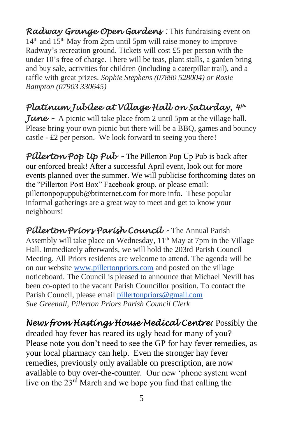*Radway Grange Open Gardens :* This fundraising event on  $14<sup>th</sup>$  and  $15<sup>th</sup>$  May from 2pm until 5pm will raise money to improve Radway's recreation ground. Tickets will cost £5 per person with the under 10's free of charge. There will be teas, plant stalls, a garden bring and buy sale, activities for children (including a caterpillar trail), and a raffle with great prizes. *Sophie Stephens (07880 528004) or Rosie Bampton (07903 330645)*

### *Platinum Jubilee at Village Hall on Saturday, 4th*

*June –* A picnic will take place from 2 until 5pm at the village hall. Please bring your own picnic but there will be a BBQ, games and bouncy castle - £2 per person. We look forward to seeing you there!

*Pillerton Pop Up Pub –* The Pillerton Pop Up Pub is back after our enforced break! After a successful April event, look out for more events planned over the summer. We will publicise forthcoming dates on the "Pillerton Post Box" Facebook group, or please email: [pillertonpopuppub@btinternet.com](mailto:pillertonpopuppub@btinternet.com) for more info. These popular informal gatherings are a great way to meet and get to know your neighbours!

*Pillerton Priors Parish Council -* The Annual Parish Assembly will take place on Wednesday,  $11<sup>th</sup>$  May at 7pm in the Village Hall. Immediately afterwards, we will hold the 203rd Parish Council Meeting. All Priors residents are welcome to attend. The agenda will be on our website [www.pillertonpriors.com](http://www.pillertonpriors.com/) and posted on the village noticeboard. The Council is pleased to announce that Michael Nevill has been co-opted to the vacant Parish Councillor position. To contact the Parish Council, please email [pillertonpriors@gmail.com](mailto:pillertonpriors@gmail.com)  *Sue Greenall, Pillerton Priors Parish Council Clerk*

*News from Hastings House Medical Centre:* Possibly the dreaded hay fever has reared its ugly head for many of you? Please note you don't need to see the GP for hay fever remedies, as your local pharmacy can help. Even the stronger hay fever remedies, previously only available on prescription, are now available to buy over-the-counter. Our new 'phone system went live on the  $23<sup>rd</sup>$  March and we hope you find that calling the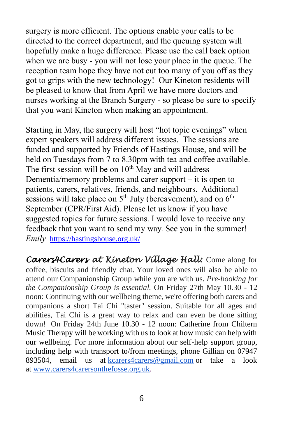surgery is more efficient. The options enable your calls to be directed to the correct department, and the queuing system will hopefully make a huge difference. Please use the call back option when we are busy - you will not lose your place in the queue. The reception team hope they have not cut too many of you off as they got to grips with the new technology! Our Kineton residents will be pleased to know that from April we have more doctors and nurses working at the Branch Surgery - so please be sure to specify that you want Kineton when making an appointment.

Starting in May, the surgery will host "hot topic evenings" when expert speakers will address different issues. The sessions are funded and supported by Friends of Hastings House, and will be held on Tuesdays from 7 to 8.30pm with tea and coffee available. The first session will be on  $10<sup>th</sup>$  May and will address Dementia/memory problems and carer support – it is open to patients, carers, relatives, friends, and neighbours. Additional sessions will take place on  $5<sup>th</sup>$  July (bereavement), and on  $6<sup>th</sup>$ September (CPR/First Aid). Please let us know if you have suggested topics for future sessions. I would love to receive any feedback that you want to send my way. See you in the summer! *Emily* <https://hastingshouse.org.uk/>

*Carers4Carers at Kineton Village Hall:* Come along for coffee, biscuits and friendly chat. Your loved ones will also be able to attend our Companionship Group while you are with us. *Pre-booking for the Companionship Group is essential.* On Friday 27th May 10.30 - 12 noon: Continuing with our wellbeing theme, we're offering both carers and companions a short Tai Chi "taster" session. Suitable for all ages and abilities, Tai Chi is a great way to relax and can even be done sitting down! On Friday 24th June 10.30 - 12 noon: Catherine from Chiltern Music Therapy will be working with us to look at how music can help with our wellbeing. For more information about our self-help support group, including help with transport to/from meetings, phone Gillian on 07947 893504, email us at [kcarers4carers@gmail.com](mailto:kcarers4carers@gmail.com) or take a look at [www.carers4carersonthefosse.org.uk.](http://www.carers4carersonthefosse.org.uk/)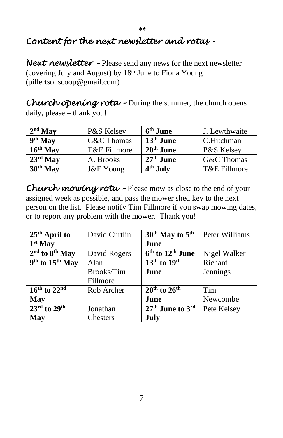# *Content for the next newsletter and rotas -*

*Next newsletter –* Please send any news for the next newsletter (covering July and August) by 18<sup>th</sup> June to Fiona Young [\(pillertsonscoop@gmail.com\)](mailto:pillertsonscoop@gmail.com)

*\*\** 

*Church opening rota –* During the summer, the church opens daily, please – thank you!

| $2nd$ May            | P&S Kelsey           | $6^{\rm th}$ June    | J. Lewthwaite |
|----------------------|----------------------|----------------------|---------------|
| $9th$ May            | G&C Thomas           | $13th$ June          | C.Hitchman    |
| $16th$ May           | T&E Fillmore         | $20th$ June          | P&S Kelsey    |
| $23rd$ May           | A. Brooks            | $27^{\rm th}$ June   | G&C Thomas    |
| 30 <sup>th</sup> May | <b>J&amp;F</b> Young | 4 <sup>th</sup> July | T&E Fillmore  |

*Church mowing rota –* Please mow as close to the end of your assigned week as possible, and pass the mower shed key to the next person on the list. Please notify Tim Fillmore if you swap mowing dates, or to report any problem with the mower. Thank you!

| 25 <sup>th</sup> April to               | David Curtlin | $30th$ May to $5th$                      | Peter Williams |
|-----------------------------------------|---------------|------------------------------------------|----------------|
| $1st$ May                               |               | June                                     |                |
| $2nd$ to $8th$ May                      | David Rogers  | $6th$ to $12th$ June                     | Nigel Walker   |
| 9 <sup>th</sup> to 15 <sup>th</sup> May | Alan          | $13th$ to $19th$                         | Richard        |
|                                         | Brooks/Tim    | June                                     | Jennings       |
|                                         | Fillmore      |                                          |                |
| $16th$ to $22nd$                        | Rob Archer    | $20th$ to $26th$                         | Tim            |
| May                                     |               | June                                     | Newcombe       |
| $23^{\text{rd}}$ to $29^{\text{th}}$    | Jonathan      | 27 <sup>th</sup> June to 3 <sup>rd</sup> | Pete Kelsey    |
| <b>May</b>                              | Chesters      | July                                     |                |